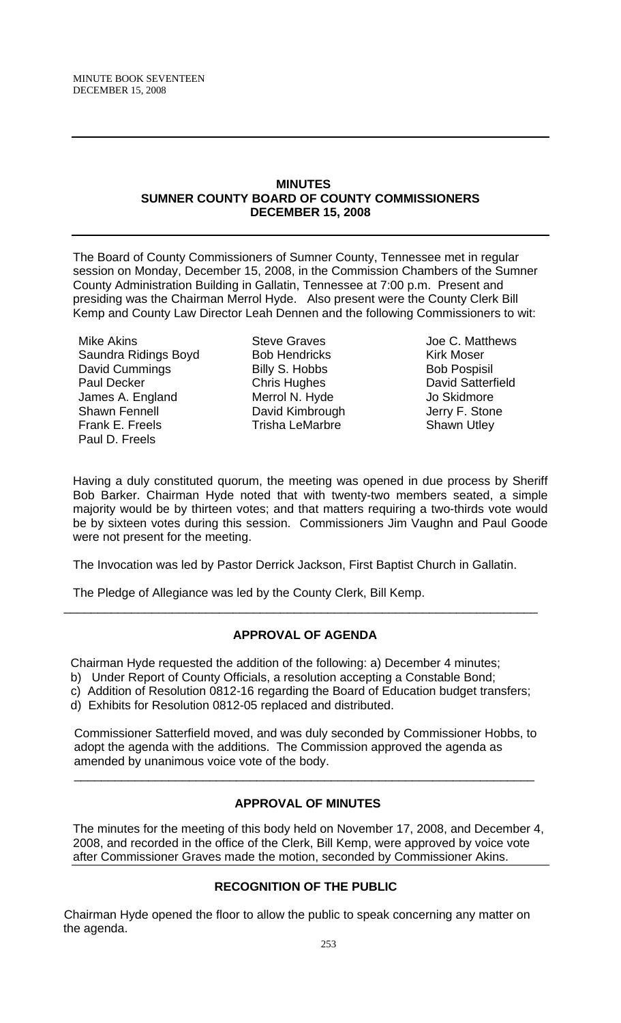### **MINUTES SUMNER COUNTY BOARD OF COUNTY COMMISSIONERS DECEMBER 15, 2008**

The Board of County Commissioners of Sumner County, Tennessee met in regular session on Monday, December 15, 2008, in the Commission Chambers of the Sumner County Administration Building in Gallatin, Tennessee at 7:00 p.m. Present and presiding was the Chairman Merrol Hyde. Also present were the County Clerk Bill Kemp and County Law Director Leah Dennen and the following Commissioners to wit:

Mike Akins Saundra Ridings Boyd David Cummings Paul Decker James A. England Shawn Fennell Frank E. Freels Paul D. Freels

Steve Graves Bob Hendricks Billy S. Hobbs Chris Hughes Merrol N. Hyde David Kimbrough Trisha LeMarbre

Joe C. Matthews Kirk Moser Bob Pospisil David Satterfield Jo Skidmore Jerry F. Stone Shawn Utley

Having a duly constituted quorum, the meeting was opened in due process by Sheriff Bob Barker. Chairman Hyde noted that with twenty-two members seated, a simple majority would be by thirteen votes; and that matters requiring a two-thirds vote would be by sixteen votes during this session. Commissioners Jim Vaughn and Paul Goode were not present for the meeting.

The Invocation was led by Pastor Derrick Jackson, First Baptist Church in Gallatin.

The Pledge of Allegiance was led by the County Clerk, Bill Kemp.

# **APPROVAL OF AGENDA**

\_\_\_\_\_\_\_\_\_\_\_\_\_\_\_\_\_\_\_\_\_\_\_\_\_\_\_\_\_\_\_\_\_\_\_\_\_\_\_\_\_\_\_\_\_\_\_\_\_\_\_\_\_\_\_\_\_\_\_\_\_\_\_\_\_\_\_\_\_\_

Chairman Hyde requested the addition of the following: a) December 4 minutes;

- b) Under Report of County Officials, a resolution accepting a Constable Bond;
- c) Addition of Resolution 0812-16 regarding the Board of Education budget transfers;
- d) Exhibits for Resolution 0812-05 replaced and distributed.

 Commissioner Satterfield moved, and was duly seconded by Commissioner Hobbs, to adopt the agenda with the additions. The Commission approved the agenda as amended by unanimous voice vote of the body.

 $\overline{\phantom{a}}$  , and the contribution of the contribution of the contribution of the contribution of the contribution of the contribution of the contribution of the contribution of the contribution of the contribution of the

# **APPROVAL OF MINUTES**

The minutes for the meeting of this body held on November 17, 2008, and December 4, 2008, and recorded in the office of the Clerk, Bill Kemp, were approved by voice vote after Commissioner Graves made the motion, seconded by Commissioner Akins.

# **RECOGNITION OF THE PUBLIC**

Chairman Hyde opened the floor to allow the public to speak concerning any matter on the agenda.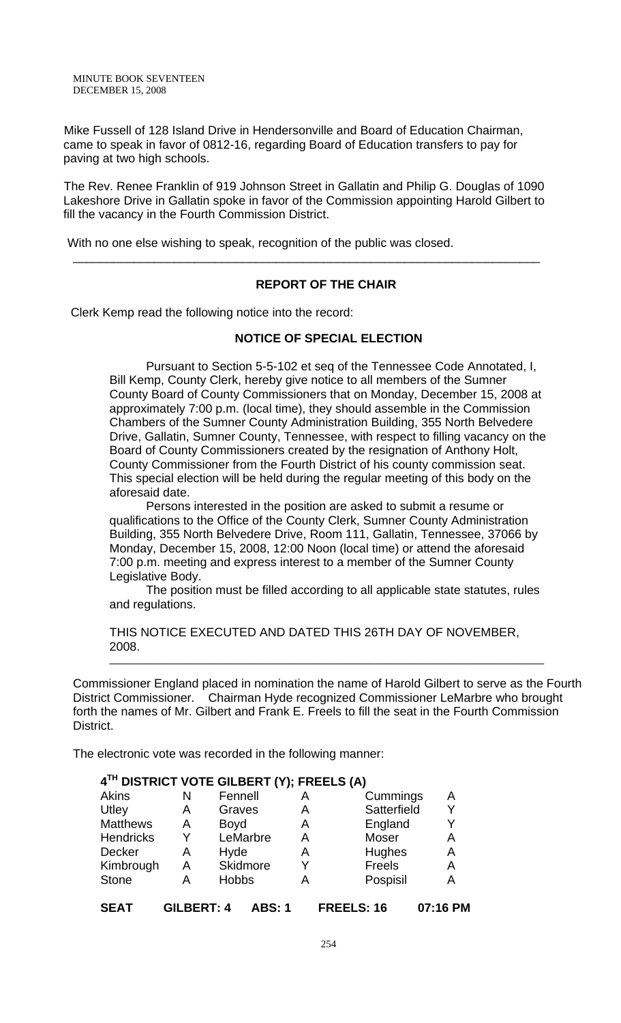MINUTE BOOK SEVENTEEN DECEMBER 15, 2008

Mike Fussell of 128 Island Drive in Hendersonville and Board of Education Chairman, came to speak in favor of 0812-16, regarding Board of Education transfers to pay for paving at two high schools.

The Rev. Renee Franklin of 919 Johnson Street in Gallatin and Philip G. Douglas of 1090 Lakeshore Drive in Gallatin spoke in favor of the Commission appointing Harold Gilbert to fill the vacancy in the Fourth Commission District.

\_\_\_\_\_\_\_\_\_\_\_\_\_\_\_\_\_\_\_\_\_\_\_\_\_\_\_\_\_\_\_\_\_\_\_\_\_\_\_\_\_\_\_\_\_\_\_\_\_\_\_\_\_\_\_\_\_\_\_\_\_\_\_\_\_\_\_\_\_

With no one else wishing to speak, recognition of the public was closed.

# **REPORT OF THE CHAIR**

Clerk Kemp read the following notice into the record:

### **NOTICE OF SPECIAL ELECTION**

 Pursuant to Section 5-5-102 et seq of the Tennessee Code Annotated, I, Bill Kemp, County Clerk, hereby give notice to all members of the Sumner County Board of County Commissioners that on Monday, December 15, 2008 at approximately 7:00 p.m. (local time), they should assemble in the Commission Chambers of the Sumner County Administration Building, 355 North Belvedere Drive, Gallatin, Sumner County, Tennessee, with respect to filling vacancy on the Board of County Commissioners created by the resignation of Anthony Holt, County Commissioner from the Fourth District of his county commission seat. This special election will be held during the regular meeting of this body on the aforesaid date.

Persons interested in the position are asked to submit a resume or qualifications to the Office of the County Clerk, Sumner County Administration Building, 355 North Belvedere Drive, Room 111, Gallatin, Tennessee, 37066 by Monday, December 15, 2008, 12:00 Noon (local time) or attend the aforesaid 7:00 p.m. meeting and express interest to a member of the Sumner County Legislative Body.

 The position must be filled according to all applicable state statutes, rules and regulations.

THIS NOTICE EXECUTED AND DATED THIS 26TH DAY OF NOVEMBER, 2008.

Commissioner England placed in nomination the name of Harold Gilbert to serve as the Fourth District Commissioner. Chairman Hyde recognized Commissioner LeMarbre who brought forth the names of Mr. Gilbert and Frank E. Freels to fill the seat in the Fourth Commission District.

\_\_\_\_\_\_\_\_\_\_\_\_\_\_\_\_\_\_\_\_\_\_\_\_\_\_\_\_\_\_\_\_\_\_\_\_\_\_\_\_\_\_\_\_\_\_\_\_\_\_\_\_\_\_\_\_\_\_\_\_\_\_\_\_\_\_\_\_\_\_\_\_\_\_\_\_\_

The electronic vote was recorded in the following manner:

| 4TH DISTRICT VOTE GILBERT (Y); FREELS (A) |                   |              |               |   |             |          |
|-------------------------------------------|-------------------|--------------|---------------|---|-------------|----------|
| <b>Akins</b>                              | N                 | Fennell      |               | А | Cummings    | A        |
| Utley                                     | A                 | Graves       |               | A | Satterfield | Y        |
| <b>Matthews</b>                           | A                 | <b>Boyd</b>  |               | Α | England     | Y        |
| <b>Hendricks</b>                          | Y                 |              | LeMarbre      | Α | Moser       | A        |
| Decker                                    | A                 | Hyde         |               | A | Hughes      | Α        |
| Kimbrough                                 | A                 |              | Skidmore      | Y | Freels      | Α        |
| <b>Stone</b>                              | A                 | <b>Hobbs</b> |               | А | Pospisil    | Α        |
| <b>SEAT</b>                               | <b>GILBERT: 4</b> |              | <b>ABS: 1</b> |   | FREELS: 16  | 07:16 PM |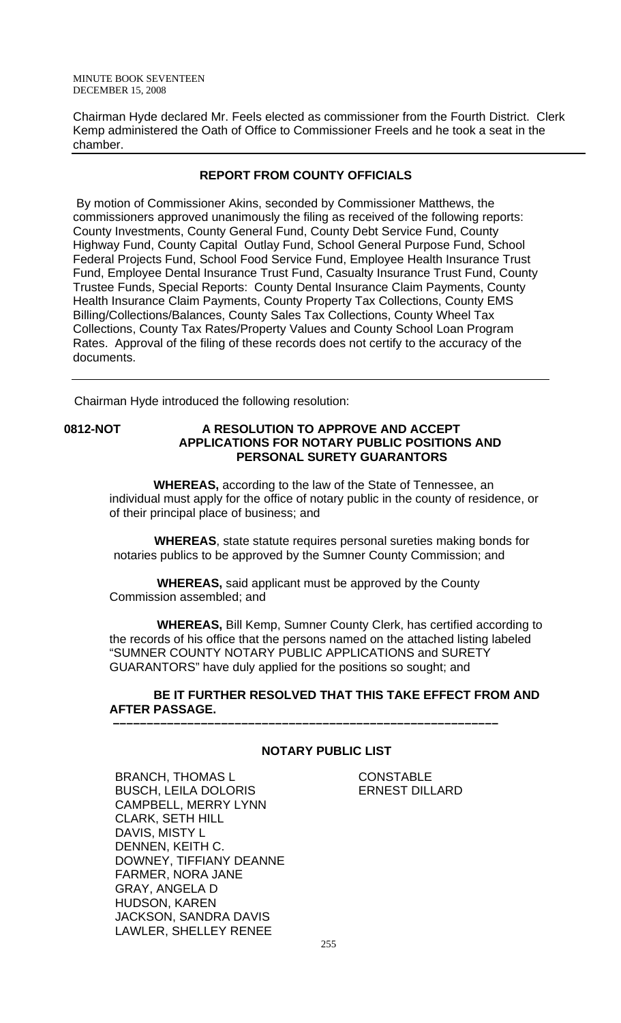Chairman Hyde declared Mr. Feels elected as commissioner from the Fourth District. Clerk Kemp administered the Oath of Office to Commissioner Freels and he took a seat in the chamber.

# **REPORT FROM COUNTY OFFICIALS**

 By motion of Commissioner Akins, seconded by Commissioner Matthews, the commissioners approved unanimously the filing as received of the following reports: County Investments, County General Fund, County Debt Service Fund, County Highway Fund, County Capital Outlay Fund, School General Purpose Fund, School Federal Projects Fund, School Food Service Fund, Employee Health Insurance Trust Fund, Employee Dental Insurance Trust Fund, Casualty Insurance Trust Fund, County Trustee Funds, Special Reports: County Dental Insurance Claim Payments, County Health Insurance Claim Payments, County Property Tax Collections, County EMS Billing/Collections/Balances, County Sales Tax Collections, County Wheel Tax Collections, County Tax Rates/Property Values and County School Loan Program Rates. Approval of the filing of these records does not certify to the accuracy of the documents.

Chairman Hyde introduced the following resolution:

## **0812-NOT A RESOLUTION TO APPROVE AND ACCEPT APPLICATIONS FOR NOTARY PUBLIC POSITIONS AND PERSONAL SURETY GUARANTORS**

 **WHEREAS,** according to the law of the State of Tennessee, an individual must apply for the office of notary public in the county of residence, or of their principal place of business; and

 **WHEREAS**, state statute requires personal sureties making bonds for notaries publics to be approved by the Sumner County Commission; and

 **WHEREAS,** said applicant must be approved by the County Commission assembled; and

 **WHEREAS,** Bill Kemp, Sumner County Clerk, has certified according to the records of his office that the persons named on the attached listing labeled "SUMNER COUNTY NOTARY PUBLIC APPLICATIONS and SURETY GUARANTORS" have duly applied for the positions so sought; and

### **BE IT FURTHER RESOLVED THAT THIS TAKE EFFECT FROM AND AFTER PASSAGE. –––––––––––––––––––––––––––––––––––––––––––––––––––––––––**

# **NOTARY PUBLIC LIST**

**CONSTABLE** ERNEST DILLARD

BRANCH, THOMAS L BUSCH, LEILA DOLORIS CAMPBELL, MERRY LYNN CLARK, SETH HILL DAVIS, MISTY L DENNEN, KEITH C. DOWNEY, TIFFIANY DEANNE FARMER, NORA JANE GRAY, ANGELA D HUDSON, KAREN JACKSON, SANDRA DAVIS LAWLER, SHELLEY RENEE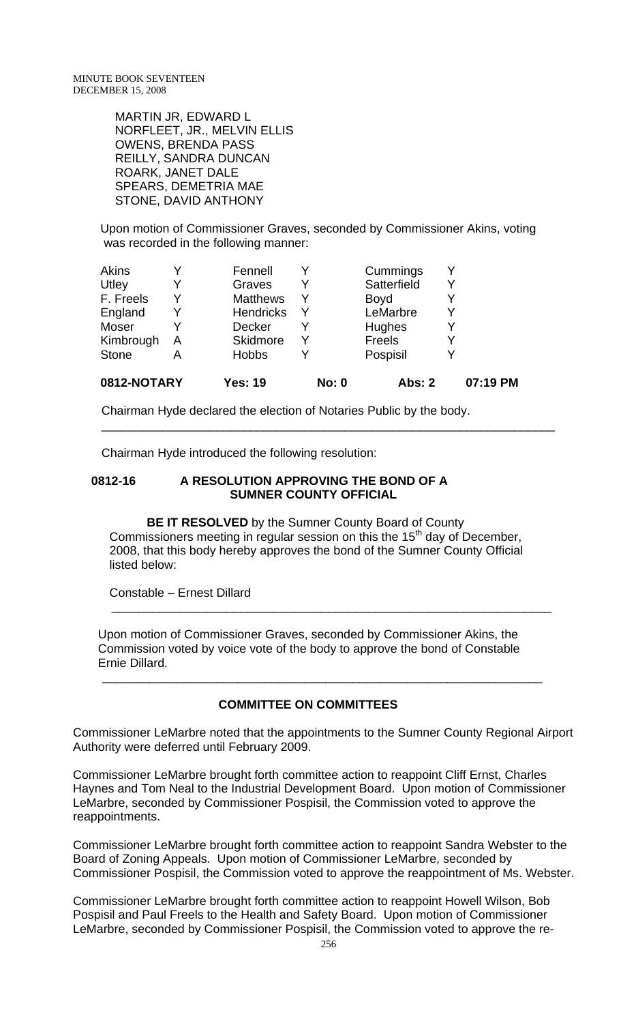MARTIN JR, EDWARD L NORFLEET, JR., MELVIN ELLIS OWENS, BRENDA PASS REILLY, SANDRA DUNCAN ROARK, JANET DALE SPEARS, DEMETRIA MAE STONE, DAVID ANTHONY

Upon motion of Commissioner Graves, seconded by Commissioner Akins, voting was recorded in the following manner:

| 0812-NOTARY  |   | <b>Yes: 19</b>   | <b>No: 0</b> | <b>Abs: 2</b> | 07:19 PM |
|--------------|---|------------------|--------------|---------------|----------|
| <b>Stone</b> | А | <b>Hobbs</b>     | Y            | Pospisil      |          |
| Kimbrough    | A | <b>Skidmore</b>  |              | Freels        |          |
| Moser        |   | <b>Decker</b>    |              | <b>Hughes</b> |          |
| England      |   | <b>Hendricks</b> | Y            | LeMarbre      |          |
| F. Freels    |   | <b>Matthews</b>  | Y            | <b>Boyd</b>   |          |
| Utley        |   | Graves           | Y            | Satterfield   |          |
| Akins        |   | Fennell          |              | Cummings      |          |

Chairman Hyde declared the election of Notaries Public by the body.

Chairman Hyde introduced the following resolution:

#### **0812-16 A RESOLUTION APPROVING THE BOND OF A SUMNER COUNTY OFFICIAL**

 **BE IT RESOLVED** by the Sumner County Board of County Commissioners meeting in regular session on this the 15<sup>th</sup> day of December, 2008, that this body hereby approves the bond of the Sumner County Official listed below:

 $\frac{1}{\sqrt{2}}$  ,  $\frac{1}{\sqrt{2}}$  ,  $\frac{1}{\sqrt{2}}$  ,  $\frac{1}{\sqrt{2}}$  ,  $\frac{1}{\sqrt{2}}$  ,  $\frac{1}{\sqrt{2}}$  ,  $\frac{1}{\sqrt{2}}$  ,  $\frac{1}{\sqrt{2}}$  ,  $\frac{1}{\sqrt{2}}$  ,  $\frac{1}{\sqrt{2}}$  ,  $\frac{1}{\sqrt{2}}$  ,  $\frac{1}{\sqrt{2}}$  ,  $\frac{1}{\sqrt{2}}$  ,  $\frac{1}{\sqrt{2}}$  ,  $\frac{1}{\sqrt{2}}$ 

 $\overline{\phantom{a}}$  , and the contribution of the contribution of the contribution of the contribution of the contribution of the contribution of the contribution of the contribution of the contribution of the contribution of the

Constable – Ernest Dillard

 Upon motion of Commissioner Graves, seconded by Commissioner Akins, the Commission voted by voice vote of the body to approve the bond of Constable Ernie Dillard.

### **COMMITTEE ON COMMITTEES**

 $\overline{\phantom{a}}$  , and the contribution of the contribution of the contribution of the contribution of the contribution of the contribution of the contribution of the contribution of the contribution of the contribution of the

Commissioner LeMarbre noted that the appointments to the Sumner County Regional Airport Authority were deferred until February 2009.

Commissioner LeMarbre brought forth committee action to reappoint Cliff Ernst, Charles Haynes and Tom Neal to the Industrial Development Board. Upon motion of Commissioner LeMarbre, seconded by Commissioner Pospisil, the Commission voted to approve the reappointments.

Commissioner LeMarbre brought forth committee action to reappoint Sandra Webster to the Board of Zoning Appeals. Upon motion of Commissioner LeMarbre, seconded by Commissioner Pospisil, the Commission voted to approve the reappointment of Ms. Webster.

Commissioner LeMarbre brought forth committee action to reappoint Howell Wilson, Bob Pospisil and Paul Freels to the Health and Safety Board. Upon motion of Commissioner LeMarbre, seconded by Commissioner Pospisil, the Commission voted to approve the re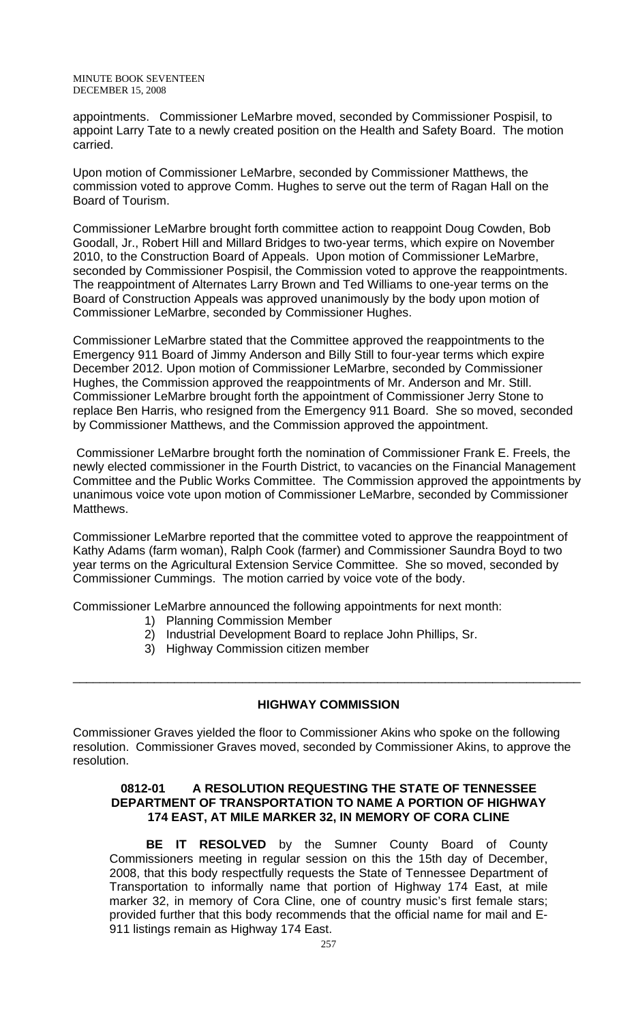MINUTE BOOK SEVENTEEN DECEMBER 15, 2008

appointments. Commissioner LeMarbre moved, seconded by Commissioner Pospisil, to appoint Larry Tate to a newly created position on the Health and Safety Board. The motion carried.

Upon motion of Commissioner LeMarbre, seconded by Commissioner Matthews, the commission voted to approve Comm. Hughes to serve out the term of Ragan Hall on the Board of Tourism.

Commissioner LeMarbre brought forth committee action to reappoint Doug Cowden, Bob Goodall, Jr., Robert Hill and Millard Bridges to two-year terms, which expire on November 2010, to the Construction Board of Appeals. Upon motion of Commissioner LeMarbre, seconded by Commissioner Pospisil, the Commission voted to approve the reappointments. The reappointment of Alternates Larry Brown and Ted Williams to one-year terms on the Board of Construction Appeals was approved unanimously by the body upon motion of Commissioner LeMarbre, seconded by Commissioner Hughes.

Commissioner LeMarbre stated that the Committee approved the reappointments to the Emergency 911 Board of Jimmy Anderson and Billy Still to four-year terms which expire December 2012. Upon motion of Commissioner LeMarbre, seconded by Commissioner Hughes, the Commission approved the reappointments of Mr. Anderson and Mr. Still. Commissioner LeMarbre brought forth the appointment of Commissioner Jerry Stone to replace Ben Harris, who resigned from the Emergency 911 Board. She so moved, seconded by Commissioner Matthews, and the Commission approved the appointment.

 Commissioner LeMarbre brought forth the nomination of Commissioner Frank E. Freels, the newly elected commissioner in the Fourth District, to vacancies on the Financial Management Committee and the Public Works Committee. The Commission approved the appointments by unanimous voice vote upon motion of Commissioner LeMarbre, seconded by Commissioner Matthews.

Commissioner LeMarbre reported that the committee voted to approve the reappointment of Kathy Adams (farm woman), Ralph Cook (farmer) and Commissioner Saundra Boyd to two year terms on the Agricultural Extension Service Committee. She so moved, seconded by Commissioner Cummings. The motion carried by voice vote of the body.

Commissioner LeMarbre announced the following appointments for next month:

- 1) Planning Commission Member
- 2) Industrial Development Board to replace John Phillips, Sr.
- 3) Highway Commission citizen member

### **HIGHWAY COMMISSION**

\_\_\_\_\_\_\_\_\_\_\_\_\_\_\_\_\_\_\_\_\_\_\_\_\_\_\_\_\_\_\_\_\_\_\_\_\_\_\_\_\_\_\_\_\_\_\_\_\_\_\_\_\_\_\_\_\_\_\_\_\_\_\_\_\_\_\_\_\_\_\_\_\_\_\_

Commissioner Graves yielded the floor to Commissioner Akins who spoke on the following resolution. Commissioner Graves moved, seconded by Commissioner Akins, to approve the resolution.

### **0812-01 A RESOLUTION REQUESTING THE STATE OF TENNESSEE DEPARTMENT OF TRANSPORTATION TO NAME A PORTION OF HIGHWAY 174 EAST, AT MILE MARKER 32, IN MEMORY OF CORA CLINE**

**BE IT RESOLVED** by the Sumner County Board of County Commissioners meeting in regular session on this the 15th day of December, 2008, that this body respectfully requests the State of Tennessee Department of Transportation to informally name that portion of Highway 174 East, at mile marker 32, in memory of Cora Cline, one of country music's first female stars; provided further that this body recommends that the official name for mail and E-911 listings remain as Highway 174 East.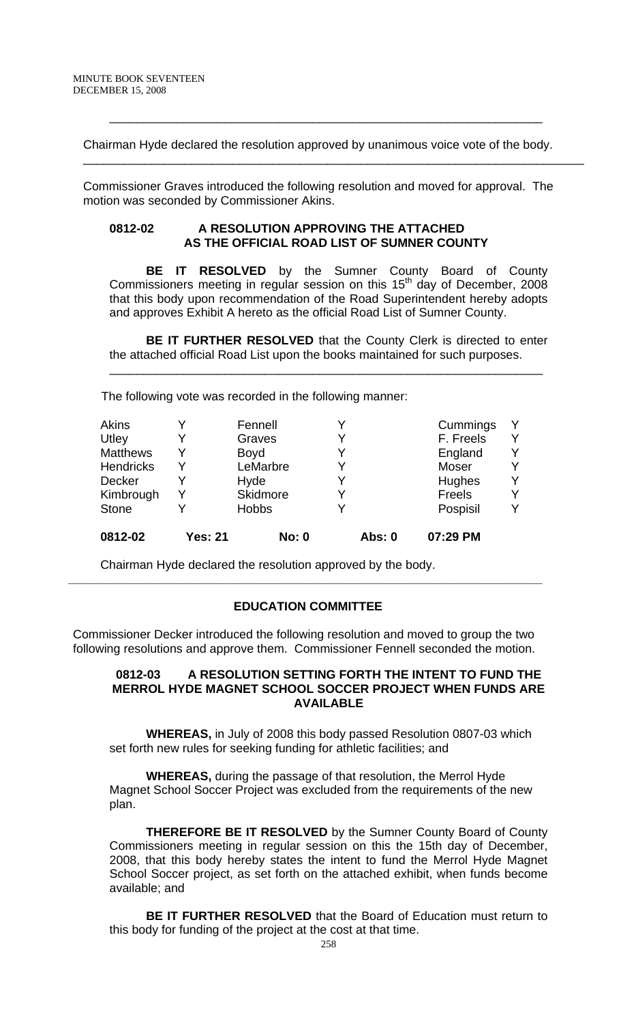Chairman Hyde declared the resolution approved by unanimous voice vote of the body.

\_\_\_\_\_\_\_\_\_\_\_\_\_\_\_\_\_\_\_\_\_\_\_\_\_\_\_\_\_\_\_\_\_\_\_\_\_\_\_\_\_\_\_\_\_\_\_\_\_\_\_\_\_\_\_\_\_\_\_\_\_\_\_\_

 $\overline{\phantom{a}}$  , and the contribution of the contribution of the contribution of the contribution of the contribution of  $\overline{\phantom{a}}$ 

 Commissioner Graves introduced the following resolution and moved for approval. The motion was seconded by Commissioner Akins.

#### **0812-02 A RESOLUTION APPROVING THE ATTACHED AS THE OFFICIAL ROAD LIST OF SUMNER COUNTY**

**BE IT RESOLVED** by the Sumner County Board of County Commissioners meeting in regular session on this  $15<sup>th</sup>$  day of December, 2008 that this body upon recommendation of the Road Superintendent hereby adopts and approves Exhibit A hereto as the official Road List of Sumner County.

**BE IT FURTHER RESOLVED** that the County Clerk is directed to enter the attached official Road List upon the books maintained for such purposes.

\_\_\_\_\_\_\_\_\_\_\_\_\_\_\_\_\_\_\_\_\_\_\_\_\_\_\_\_\_\_\_\_\_\_\_\_\_\_\_\_\_\_\_\_\_\_\_\_\_\_\_\_\_\_\_\_\_\_\_\_\_\_\_\_

The following vote was recorded in the following manner:

| 0812-02          |   |                 |  |               |   |
|------------------|---|-----------------|--|---------------|---|
| <b>Stone</b>     | v | <b>Hobbs</b>    |  | Pospisil      | v |
| Kimbrough        | Y | <b>Skidmore</b> |  | <b>Freels</b> | Y |
| Decker           | Y | Hyde            |  | Hughes        | v |
| <b>Hendricks</b> | Y | LeMarbre        |  | Moser         | Y |
| <b>Matthews</b>  | Y | <b>Boyd</b>     |  | England       | Y |
| Utley            |   | Graves          |  | F. Freels     | v |
| <b>Akins</b>     | Y | Fennell         |  | Cummings      | Y |

Chairman Hyde declared the resolution approved by the body.

# **EDUCATION COMMITTEE**

**\_\_\_\_\_\_\_\_\_\_\_\_\_\_\_\_\_\_\_\_\_\_\_\_\_\_\_\_\_\_\_\_\_\_\_\_\_\_\_\_\_\_\_\_\_\_\_\_\_\_\_\_\_\_\_\_\_\_\_\_\_\_\_\_\_\_\_\_\_\_** 

Commissioner Decker introduced the following resolution and moved to group the two following resolutions and approve them. Commissioner Fennell seconded the motion.

### **0812-03 A RESOLUTION SETTING FORTH THE INTENT TO FUND THE MERROL HYDE MAGNET SCHOOL SOCCER PROJECT WHEN FUNDS ARE AVAILABLE**

**WHEREAS,** in July of 2008 this body passed Resolution 0807-03 which set forth new rules for seeking funding for athletic facilities; and

**WHEREAS,** during the passage of that resolution, the Merrol Hyde Magnet School Soccer Project was excluded from the requirements of the new plan.

 **THEREFORE BE IT RESOLVED** by the Sumner County Board of County Commissioners meeting in regular session on this the 15th day of December, 2008, that this body hereby states the intent to fund the Merrol Hyde Magnet School Soccer project, as set forth on the attached exhibit, when funds become available; and

**BE IT FURTHER RESOLVED** that the Board of Education must return to this body for funding of the project at the cost at that time.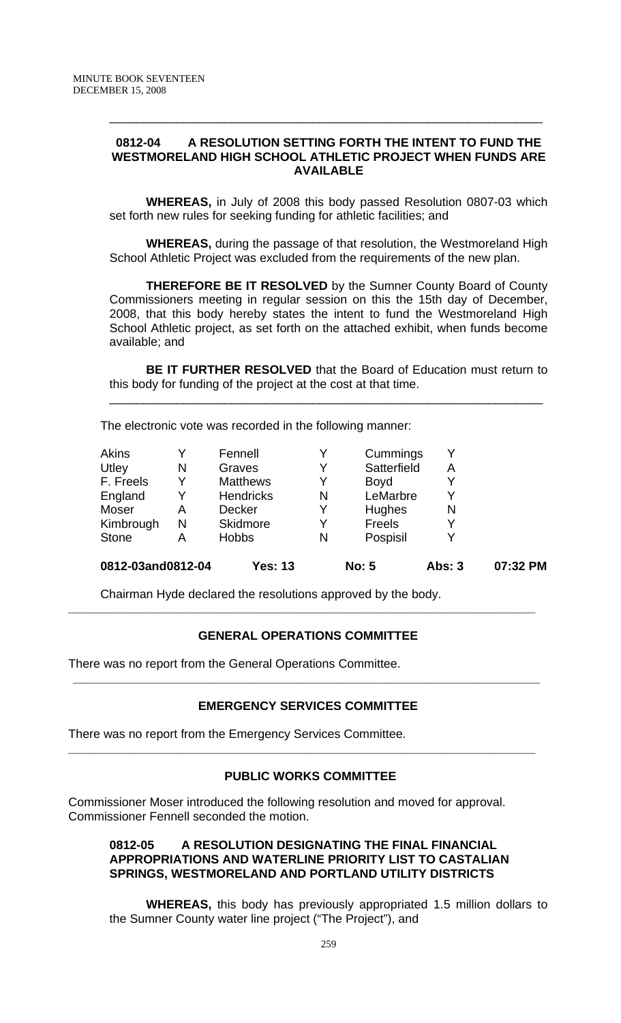## **0812-04 A RESOLUTION SETTING FORTH THE INTENT TO FUND THE WESTMORELAND HIGH SCHOOL ATHLETIC PROJECT WHEN FUNDS ARE AVAILABLE**

\_\_\_\_\_\_\_\_\_\_\_\_\_\_\_\_\_\_\_\_\_\_\_\_\_\_\_\_\_\_\_\_\_\_\_\_\_\_\_\_\_\_\_\_\_\_\_\_\_\_\_\_\_\_\_\_\_\_\_\_\_\_\_\_

**WHEREAS,** in July of 2008 this body passed Resolution 0807-03 which set forth new rules for seeking funding for athletic facilities; and

**WHEREAS,** during the passage of that resolution, the Westmoreland High School Athletic Project was excluded from the requirements of the new plan.

 **THEREFORE BE IT RESOLVED** by the Sumner County Board of County Commissioners meeting in regular session on this the 15th day of December, 2008, that this body hereby states the intent to fund the Westmoreland High School Athletic project, as set forth on the attached exhibit, when funds become available; and

**BE IT FURTHER RESOLVED** that the Board of Education must return to this body for funding of the project at the cost at that time.

\_\_\_\_\_\_\_\_\_\_\_\_\_\_\_\_\_\_\_\_\_\_\_\_\_\_\_\_\_\_\_\_\_\_\_\_\_\_\_\_\_\_\_\_\_\_\_\_\_\_\_\_\_\_\_\_\_\_\_\_\_\_\_\_

The electronic vote was recorded in the following manner:

|   |                  |   |               | Abs: 3                                              | 07:32 PM |
|---|------------------|---|---------------|-----------------------------------------------------|----------|
| Α | <b>Hobbs</b>     | N | Pospisil      |                                                     |          |
| N | <b>Skidmore</b>  | Y | <b>Freels</b> |                                                     |          |
| Α | <b>Decker</b>    | Y | <b>Hughes</b> | N                                                   |          |
|   | <b>Hendricks</b> | N | LeMarbre      |                                                     |          |
| Y | <b>Matthews</b>  | Y | <b>Boyd</b>   |                                                     |          |
| N | Graves           | Y | Satterfield   | Α                                                   |          |
|   | Fennell          | Y |               |                                                     |          |
|   |                  |   |               | 0812-03and0812-04<br><b>Yes: 13</b><br><b>No: 5</b> | Cummings |

Chairman Hyde declared the resolutions approved by the body.

### **GENERAL OPERATIONS COMMITTEE**

**\_\_\_\_\_\_\_\_\_\_\_\_\_\_\_\_\_\_\_\_\_\_\_\_\_\_\_\_\_\_\_\_\_\_\_\_\_\_\_\_\_\_\_\_\_\_\_\_\_\_\_\_\_\_\_\_\_\_\_\_\_\_\_\_\_\_\_\_\_** 

There was no report from the General Operations Committee.

### **EMERGENCY SERVICES COMMITTEE**

**\_\_\_\_\_\_\_\_\_\_\_\_\_\_\_\_\_\_\_\_\_\_\_\_\_\_\_\_\_\_\_\_\_\_\_\_\_\_\_\_\_\_\_\_\_\_\_\_\_\_\_\_\_\_\_\_\_\_\_\_\_\_\_\_\_\_\_\_\_** 

There was no report from the Emergency Services Committee.

# **PUBLIC WORKS COMMITTEE**

**\_\_\_\_\_\_\_\_\_\_\_\_\_\_\_\_\_\_\_\_\_\_\_\_\_\_\_\_\_\_\_\_\_\_\_\_\_\_\_\_\_\_\_\_\_\_\_\_\_\_\_\_\_\_\_\_\_\_\_\_\_\_\_\_\_\_\_\_\_** 

Commissioner Moser introduced the following resolution and moved for approval. Commissioner Fennell seconded the motion.

## **0812-05 A RESOLUTION DESIGNATING THE FINAL FINANCIAL APPROPRIATIONS AND WATERLINE PRIORITY LIST TO CASTALIAN SPRINGS, WESTMORELAND AND PORTLAND UTILITY DISTRICTS**

 **WHEREAS,** this body has previously appropriated 1.5 million dollars to the Sumner County water line project ("The Project"), and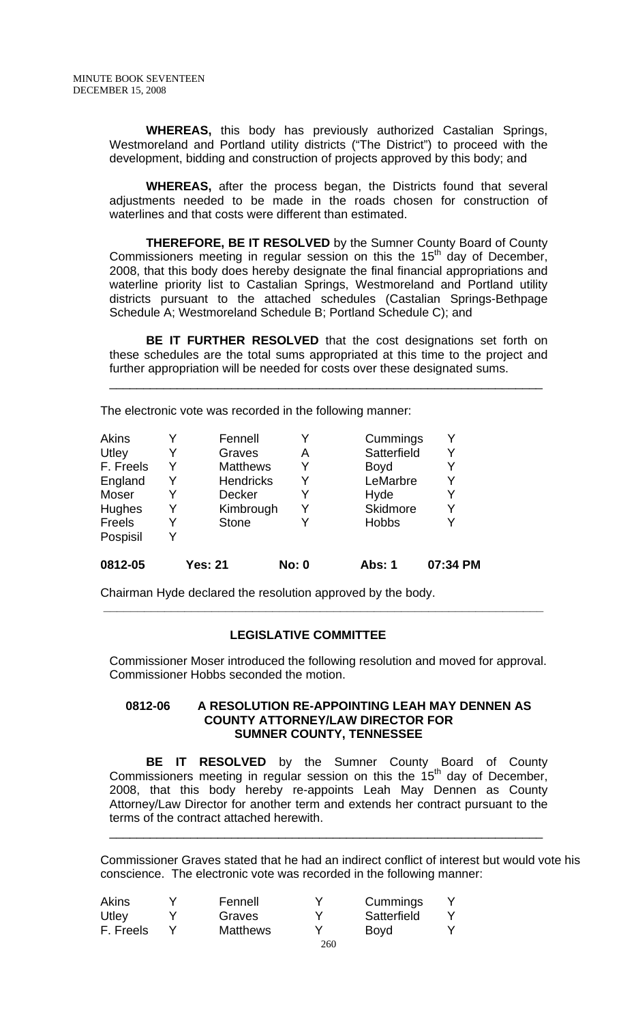**WHEREAS,** this body has previously authorized Castalian Springs, Westmoreland and Portland utility districts ("The District") to proceed with the development, bidding and construction of projects approved by this body; and

**WHEREAS,** after the process began, the Districts found that several adjustments needed to be made in the roads chosen for construction of waterlines and that costs were different than estimated.

**THEREFORE, BE IT RESOLVED** by the Sumner County Board of County Commissioners meeting in regular session on this the  $15<sup>th</sup>$  day of December. 2008, that this body does hereby designate the final financial appropriations and waterline priority list to Castalian Springs, Westmoreland and Portland utility districts pursuant to the attached schedules (Castalian Springs-Bethpage Schedule A; Westmoreland Schedule B; Portland Schedule C); and

**BE IT FURTHER RESOLVED** that the cost designations set forth on these schedules are the total sums appropriated at this time to the project and further appropriation will be needed for costs over these designated sums.

\_\_\_\_\_\_\_\_\_\_\_\_\_\_\_\_\_\_\_\_\_\_\_\_\_\_\_\_\_\_\_\_\_\_\_\_\_\_\_\_\_\_\_\_\_\_\_\_\_\_\_\_\_\_\_\_\_\_\_\_\_\_\_\_

The electronic vote was recorded in the following manner:

| Akins         |   | Fennell          |              | Cummings      | Y        |
|---------------|---|------------------|--------------|---------------|----------|
| Utley         | Y | Graves           | Α            | Satterfield   | Y        |
| F. Freels     | Y | <b>Matthews</b>  |              | <b>Boyd</b>   | Y        |
| England       | Y | <b>Hendricks</b> | Y            | LeMarbre      | Y        |
| Moser         | Y | <b>Decker</b>    | Y            | Hyde          | Y        |
| <b>Hughes</b> | Y | Kimbrough        |              | Skidmore      | Y        |
| Freels        | Y | <b>Stone</b>     |              | <b>Hobbs</b>  | Y        |
| Pospisil      | v |                  |              |               |          |
| 0812-05       |   | <b>Yes: 21</b>   | <b>No: 0</b> | <b>Abs: 1</b> | 07:34 PM |

Chairman Hyde declared the resolution approved by the body.

# **LEGISLATIVE COMMITTEE**

 **\_\_\_\_\_\_\_\_\_\_\_\_\_\_\_\_\_\_\_\_\_\_\_\_\_\_\_\_\_\_\_\_\_\_\_\_\_\_\_\_\_\_\_\_\_\_\_\_\_\_\_\_\_\_\_\_\_\_\_\_\_\_\_\_\_** 

Commissioner Moser introduced the following resolution and moved for approval. Commissioner Hobbs seconded the motion.

#### **0812-06 A RESOLUTION RE-APPOINTING LEAH MAY DENNEN AS COUNTY ATTORNEY/LAW DIRECTOR FOR SUMNER COUNTY, TENNESSEE**

**BE IT RESOLVED** by the Sumner County Board of County Commissioners meeting in regular session on this the  $15<sup>th</sup>$  day of December, 2008, that this body hereby re-appoints Leah May Dennen as County Attorney/Law Director for another term and extends her contract pursuant to the terms of the contract attached herewith.

\_\_\_\_\_\_\_\_\_\_\_\_\_\_\_\_\_\_\_\_\_\_\_\_\_\_\_\_\_\_\_\_\_\_\_\_\_\_\_\_\_\_\_\_\_\_\_\_\_\_\_\_\_\_\_\_\_\_\_\_\_\_\_\_

Commissioner Graves stated that he had an indirect conflict of interest but would vote his conscience. The electronic vote was recorded in the following manner:

| <b>Akins</b> | Fennell         |     | Cummings    |  |
|--------------|-----------------|-----|-------------|--|
| Utley        | Graves          |     | Satterfield |  |
| F. Freels    | <b>Matthews</b> |     | <b>Boyd</b> |  |
|              |                 | 260 |             |  |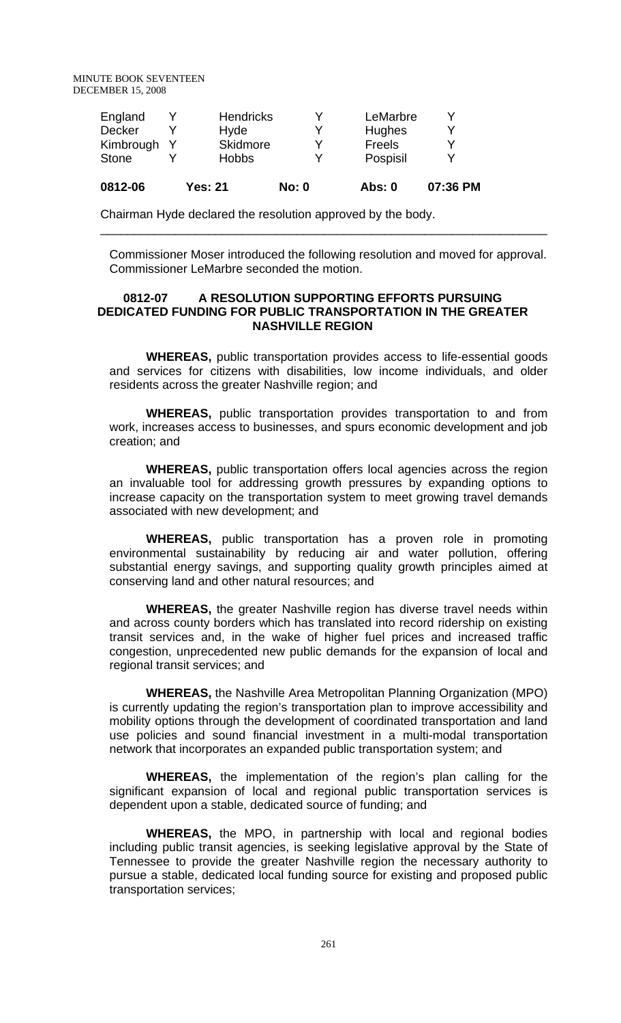| 0812-06       | <b>Yes: 21</b>   | <b>No: 0</b> | Abs: 0   | 07:36 PM |
|---------------|------------------|--------------|----------|----------|
| <b>Stone</b>  | <b>Hobbs</b>     | v            | Pospisil |          |
| Kimbrough     | Skidmore         | v            | Freels   | v        |
| <b>Decker</b> | Hyde             |              | Hughes   | v        |
| England       | <b>Hendricks</b> |              | LeMarbre |          |

Chairman Hyde declared the resolution approved by the body.

Commissioner Moser introduced the following resolution and moved for approval. Commissioner LeMarbre seconded the motion.

\_\_\_\_\_\_\_\_\_\_\_\_\_\_\_\_\_\_\_\_\_\_\_\_\_\_\_\_\_\_\_\_\_\_\_\_\_\_\_\_\_\_\_\_\_\_\_\_\_\_\_\_\_\_\_\_\_\_\_\_\_\_\_\_\_\_

### **0812-07 A RESOLUTION SUPPORTING EFFORTS PURSUING DEDICATED FUNDING FOR PUBLIC TRANSPORTATION IN THE GREATER NASHVILLE REGION**

**WHEREAS,** public transportation provides access to life-essential goods and services for citizens with disabilities, low income individuals, and older residents across the greater Nashville region; and

**WHEREAS,** public transportation provides transportation to and from work, increases access to businesses, and spurs economic development and job creation; and

**WHEREAS,** public transportation offers local agencies across the region an invaluable tool for addressing growth pressures by expanding options to increase capacity on the transportation system to meet growing travel demands associated with new development; and

**WHEREAS,** public transportation has a proven role in promoting environmental sustainability by reducing air and water pollution, offering substantial energy savings, and supporting quality growth principles aimed at conserving land and other natural resources; and

**WHEREAS,** the greater Nashville region has diverse travel needs within and across county borders which has translated into record ridership on existing transit services and, in the wake of higher fuel prices and increased traffic congestion, unprecedented new public demands for the expansion of local and regional transit services; and

**WHEREAS,** the Nashville Area Metropolitan Planning Organization (MPO) is currently updating the region's transportation plan to improve accessibility and mobility options through the development of coordinated transportation and land use policies and sound financial investment in a multi-modal transportation network that incorporates an expanded public transportation system; and

**WHEREAS,** the implementation of the region's plan calling for the significant expansion of local and regional public transportation services is dependent upon a stable, dedicated source of funding; and

**WHEREAS,** the MPO, in partnership with local and regional bodies including public transit agencies, is seeking legislative approval by the State of Tennessee to provide the greater Nashville region the necessary authority to pursue a stable, dedicated local funding source for existing and proposed public transportation services;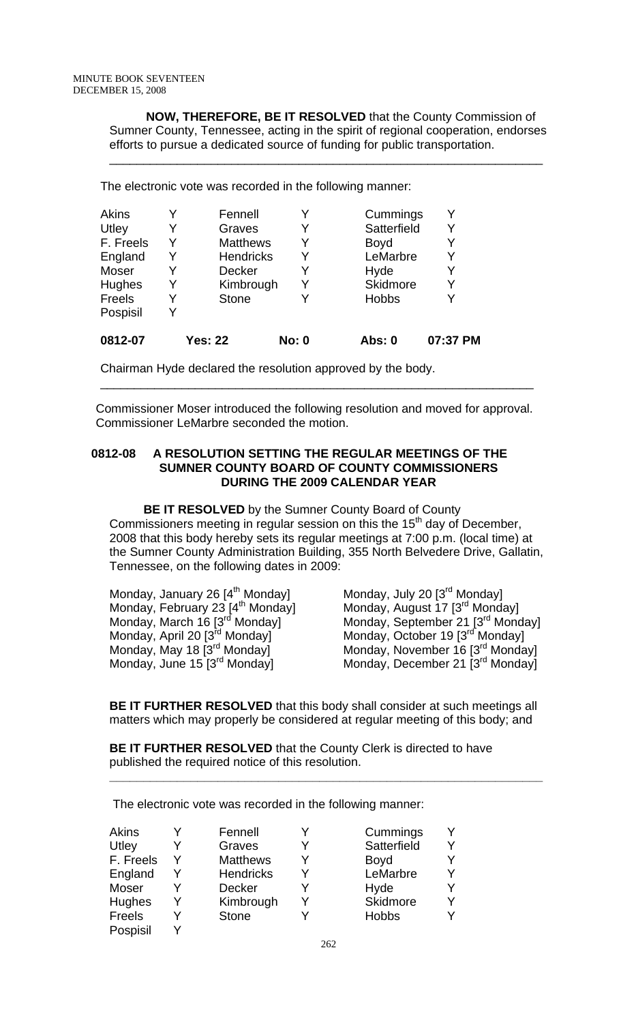**NOW, THEREFORE, BE IT RESOLVED** that the County Commission of Sumner County, Tennessee, acting in the spirit of regional cooperation, endorses efforts to pursue a dedicated source of funding for public transportation.

\_\_\_\_\_\_\_\_\_\_\_\_\_\_\_\_\_\_\_\_\_\_\_\_\_\_\_\_\_\_\_\_\_\_\_\_\_\_\_\_\_\_\_\_\_\_\_\_\_\_\_\_\_\_\_\_\_\_\_\_\_\_\_\_

The electronic vote was recorded in the following manner:

| Akins     |   | Fennell          |              | Cummings     | Y        |
|-----------|---|------------------|--------------|--------------|----------|
| Utley     | Y | Graves           | Y            | Satterfield  | Y        |
| F. Freels | Y | <b>Matthews</b>  | Y            | <b>Boyd</b>  | Y        |
| England   | Y | <b>Hendricks</b> | Y            | LeMarbre     | Y        |
| Moser     | Y | <b>Decker</b>    | Y            | Hyde         | Y        |
| Hughes    | Y | Kimbrough        | Y            | Skidmore     | Y        |
| Freels    | Y | <b>Stone</b>     |              | <b>Hobbs</b> | Υ        |
| Pospisil  | Y |                  |              |              |          |
| 0812-07   |   | <b>Yes: 22</b>   | <b>No: 0</b> | Abs: 0       | 07:37 PM |

Chairman Hyde declared the resolution approved by the body.

Commissioner Moser introduced the following resolution and moved for approval. Commissioner LeMarbre seconded the motion.

\_\_\_\_\_\_\_\_\_\_\_\_\_\_\_\_\_\_\_\_\_\_\_\_\_\_\_\_\_\_\_\_\_\_\_\_\_\_\_\_\_\_\_\_\_\_\_\_\_\_\_\_\_\_\_\_\_\_\_\_\_\_\_\_

## **0812-08 A RESOLUTION SETTING THE REGULAR MEETINGS OF THE SUMNER COUNTY BOARD OF COUNTY COMMISSIONERS DURING THE 2009 CALENDAR YEAR**

 **BE IT RESOLVED** by the Sumner County Board of County Commissioners meeting in regular session on this the  $15<sup>th</sup>$  day of December, 2008 that this body hereby sets its regular meetings at 7:00 p.m. (local time) at the Sumner County Administration Building, 355 North Belvedere Drive, Gallatin, Tennessee, on the following dates in 2009:

| Monday, January 26 [4 <sup>th</sup> Monday]  | Monday, July 20 [3 <sup>rd</sup> Monday]      |
|----------------------------------------------|-----------------------------------------------|
| Monday, February 23 [4 <sup>th</sup> Monday] | Monday, August 17 [3 <sup>rd</sup> Monday]    |
| Monday, March 16 [3 <sup>rd</sup> Monday]    | Monday, September 21 [3 <sup>rd</sup> Monday] |
| Monday, April 20 [3 <sup>rd</sup> Monday]    | Monday, October 19 [3 <sup>rd</sup> Monday]   |
| Monday, May 18 [3 <sup>rd</sup> Monday]      | Monday, November 16 [3 <sup>rd</sup> Monday]  |
| Monday, June 15 [3 <sup>rd</sup> Monday]     | Monday, December 21 [3 <sup>rd</sup> Monday]  |

**BE IT FURTHER RESOLVED** that this body shall consider at such meetings all matters which may properly be considered at regular meeting of this body; and

**\_\_\_\_\_\_\_\_\_\_\_\_\_\_\_\_\_\_\_\_\_\_\_\_\_\_\_\_\_\_\_\_\_\_\_\_\_\_\_\_\_\_\_\_\_\_\_\_\_\_\_\_\_\_\_\_\_\_\_\_\_\_\_\_**

**BE IT FURTHER RESOLVED** that the County Clerk is directed to have published the required notice of this resolution.

The electronic vote was recorded in the following manner:

| <b>Akins</b>  |   | Fennell          |   | Cummings     |  |
|---------------|---|------------------|---|--------------|--|
| Utley         |   | Graves           |   | Satterfield  |  |
| F. Freels     | Y | <b>Matthews</b>  | Y | <b>Boyd</b>  |  |
| England       |   | <b>Hendricks</b> |   | LeMarbre     |  |
| Moser         |   | <b>Decker</b>    |   | Hyde         |  |
| Hughes        | Y | Kimbrough        |   | Skidmore     |  |
| <b>Freels</b> | v | <b>Stone</b>     |   | <b>Hobbs</b> |  |
| Pospisil      | v |                  |   |              |  |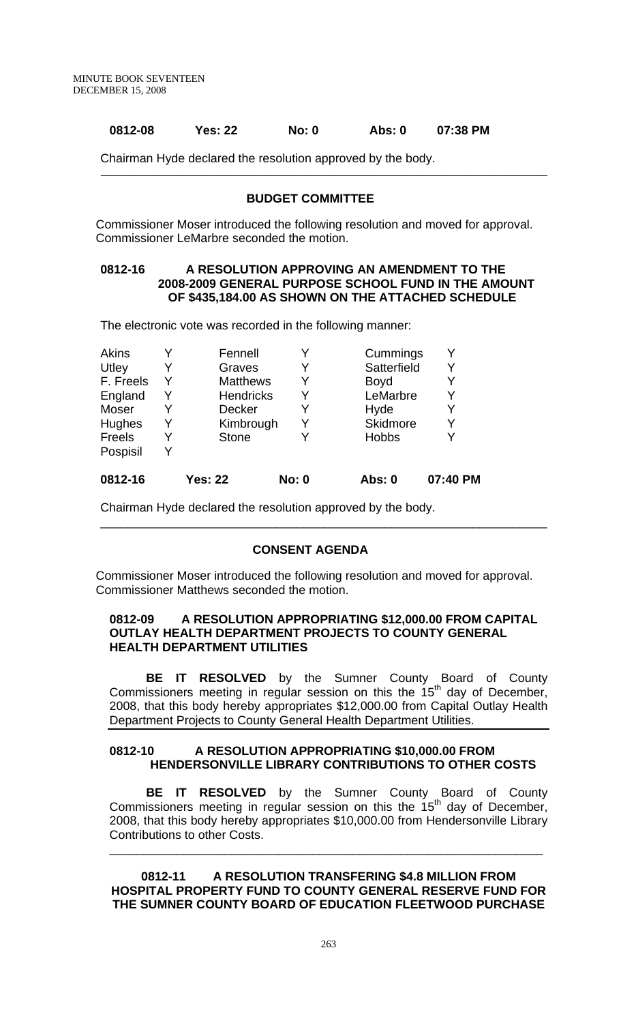## **0812-08 Yes: 22 No: 0 Abs: 0 07:38 PM**

Chairman Hyde declared the resolution approved by the body.

#### **BUDGET COMMITTEE**

\_\_\_\_\_\_\_\_\_\_\_\_\_\_\_\_\_\_\_\_\_\_\_\_\_\_\_\_\_\_\_\_\_\_\_\_\_\_\_\_\_\_\_\_\_\_\_\_\_\_\_\_\_\_\_\_\_\_\_\_\_\_\_\_\_\_\_\_\_\_\_\_\_\_\_\_\_\_\_\_\_\_\_\_\_\_\_\_

Commissioner Moser introduced the following resolution and moved for approval. Commissioner LeMarbre seconded the motion.

## **0812-16 A RESOLUTION APPROVING AN AMENDMENT TO THE 2008-2009 GENERAL PURPOSE SCHOOL FUND IN THE AMOUNT OF \$435,184.00 AS SHOWN ON THE ATTACHED SCHEDULE**

The electronic vote was recorded in the following manner:

| 0812-16   |   | <b>Yes: 22</b>   | <b>No: 0</b> | Abs: 0       | 07:40 PM |
|-----------|---|------------------|--------------|--------------|----------|
| Pospisil  |   |                  |              |              |          |
| Freels    |   | <b>Stone</b>     |              | <b>Hobbs</b> |          |
| Hughes    | Y | Kimbrough        | Y            | Skidmore     | Y        |
| Moser     |   | <b>Decker</b>    | Y            | Hyde         | Y        |
| England   |   | <b>Hendricks</b> | Y            | LeMarbre     | Y        |
| F. Freels |   | <b>Matthews</b>  | Y            | <b>Boyd</b>  |          |
| Utley     |   | Graves           | Y            | Satterfield  |          |
| Akins     |   | Fennell          |              | Cummings     |          |

Chairman Hyde declared the resolution approved by the body.

### **CONSENT AGENDA**

\_\_\_\_\_\_\_\_\_\_\_\_\_\_\_\_\_\_\_\_\_\_\_\_\_\_\_\_\_\_\_\_\_\_\_\_\_\_\_\_\_\_\_\_\_\_\_\_\_\_\_\_\_\_\_\_\_\_\_\_\_\_\_\_\_\_

Commissioner Moser introduced the following resolution and moved for approval. Commissioner Matthews seconded the motion.

## **0812-09 A RESOLUTION APPROPRIATING \$12,000.00 FROM CAPITAL OUTLAY HEALTH DEPARTMENT PROJECTS TO COUNTY GENERAL HEALTH DEPARTMENT UTILITIES**

**BE IT RESOLVED** by the Sumner County Board of County Commissioners meeting in regular session on this the  $15<sup>th</sup>$  day of December, 2008, that this body hereby appropriates \$12,000.00 from Capital Outlay Health Department Projects to County General Health Department Utilities.

## **0812-10 A RESOLUTION APPROPRIATING \$10,000.00 FROM HENDERSONVILLE LIBRARY CONTRIBUTIONS TO OTHER COSTS**

**BE IT RESOLVED** by the Sumner County Board of County Commissioners meeting in regular session on this the  $15<sup>th</sup>$  day of December, 2008, that this body hereby appropriates \$10,000.00 from Hendersonville Library Contributions to other Costs.

\_\_\_\_\_\_\_\_\_\_\_\_\_\_\_\_\_\_\_\_\_\_\_\_\_\_\_\_\_\_\_\_\_\_\_\_\_\_\_\_\_\_\_\_\_\_\_\_\_\_\_\_\_\_\_\_\_\_\_\_\_\_\_\_

**0812-11 A RESOLUTION TRANSFERING \$4.8 MILLION FROM HOSPITAL PROPERTY FUND TO COUNTY GENERAL RESERVE FUND FOR THE SUMNER COUNTY BOARD OF EDUCATION FLEETWOOD PURCHASE**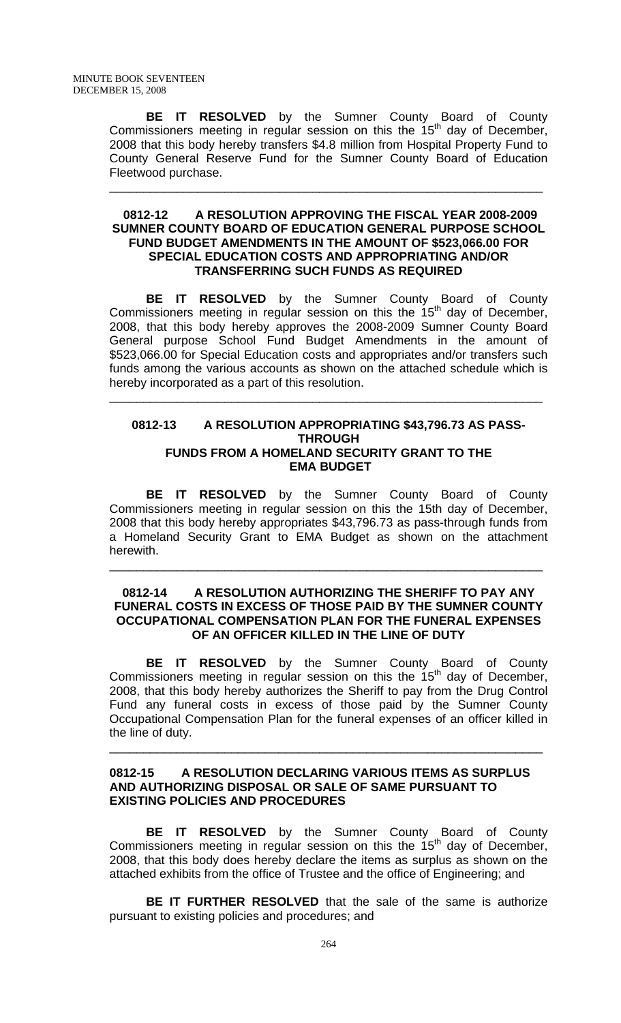**BE IT RESOLVED** by the Sumner County Board of County Commissioners meeting in regular session on this the  $15<sup>th</sup>$  day of December, 2008 that this body hereby transfers \$4.8 million from Hospital Property Fund to County General Reserve Fund for the Sumner County Board of Education Fleetwood purchase.

\_\_\_\_\_\_\_\_\_\_\_\_\_\_\_\_\_\_\_\_\_\_\_\_\_\_\_\_\_\_\_\_\_\_\_\_\_\_\_\_\_\_\_\_\_\_\_\_\_\_\_\_\_\_\_\_\_\_\_\_\_\_\_\_

#### **0812-12 A RESOLUTION APPROVING THE FISCAL YEAR 2008-2009 SUMNER COUNTY BOARD OF EDUCATION GENERAL PURPOSE SCHOOL FUND BUDGET AMENDMENTS IN THE AMOUNT OF \$523,066.00 FOR SPECIAL EDUCATION COSTS AND APPROPRIATING AND/OR TRANSFERRING SUCH FUNDS AS REQUIRED**

 **BE IT RESOLVED** by the Sumner County Board of County Commissioners meeting in regular session on this the 15<sup>th</sup> day of December, 2008, that this body hereby approves the 2008-2009 Sumner County Board General purpose School Fund Budget Amendments in the amount of \$523,066.00 for Special Education costs and appropriates and/or transfers such funds among the various accounts as shown on the attached schedule which is hereby incorporated as a part of this resolution.

### **0812-13 A RESOLUTION APPROPRIATING \$43,796.73 AS PASS-THROUGH FUNDS FROM A HOMELAND SECURITY GRANT TO THE EMA BUDGET**

\_\_\_\_\_\_\_\_\_\_\_\_\_\_\_\_\_\_\_\_\_\_\_\_\_\_\_\_\_\_\_\_\_\_\_\_\_\_\_\_\_\_\_\_\_\_\_\_\_\_\_\_\_\_\_\_\_\_\_\_\_\_\_\_

 **BE IT RESOLVED** by the Sumner County Board of County Commissioners meeting in regular session on this the 15th day of December, 2008 that this body hereby appropriates \$43,796.73 as pass-through funds from a Homeland Security Grant to EMA Budget as shown on the attachment herewith.

#### **0812-14 A RESOLUTION AUTHORIZING THE SHERIFF TO PAY ANY FUNERAL COSTS IN EXCESS OF THOSE PAID BY THE SUMNER COUNTY OCCUPATIONAL COMPENSATION PLAN FOR THE FUNERAL EXPENSES OF AN OFFICER KILLED IN THE LINE OF DUTY**

\_\_\_\_\_\_\_\_\_\_\_\_\_\_\_\_\_\_\_\_\_\_\_\_\_\_\_\_\_\_\_\_\_\_\_\_\_\_\_\_\_\_\_\_\_\_\_\_\_\_\_\_\_\_\_\_\_\_\_\_\_\_\_\_

 **BE IT RESOLVED** by the Sumner County Board of County Commissioners meeting in regular session on this the  $15<sup>th</sup>$  day of December, 2008, that this body hereby authorizes the Sheriff to pay from the Drug Control Fund any funeral costs in excess of those paid by the Sumner County Occupational Compensation Plan for the funeral expenses of an officer killed in the line of duty.

\_\_\_\_\_\_\_\_\_\_\_\_\_\_\_\_\_\_\_\_\_\_\_\_\_\_\_\_\_\_\_\_\_\_\_\_\_\_\_\_\_\_\_\_\_\_\_\_\_\_\_\_\_\_\_\_\_\_\_\_\_\_\_\_

## **0812-15 A RESOLUTION DECLARING VARIOUS ITEMS AS SURPLUS AND AUTHORIZING DISPOSAL OR SALE OF SAME PURSUANT TO EXISTING POLICIES AND PROCEDURES**

**BE IT RESOLVED** by the Sumner County Board of County Commissioners meeting in regular session on this the 15<sup>th</sup> day of December, 2008, that this body does hereby declare the items as surplus as shown on the attached exhibits from the office of Trustee and the office of Engineering; and

**BE IT FURTHER RESOLVED** that the sale of the same is authorize pursuant to existing policies and procedures; and